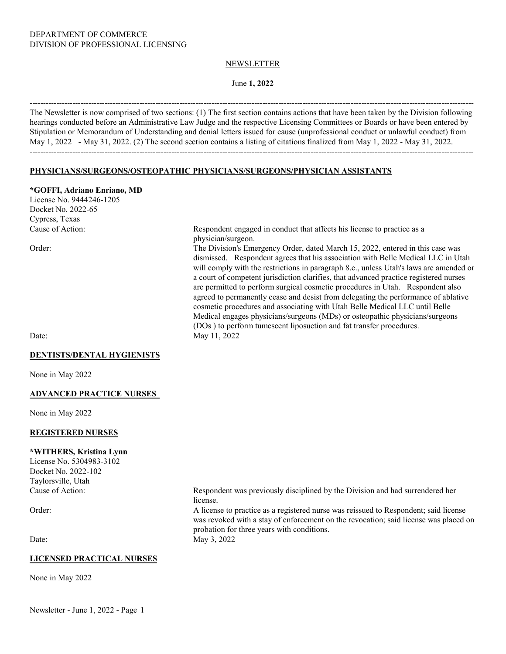#### NEWSLETTER

### June **1, 2022**

---------------------------------------------------------------------------------------------------------------------------------------------------------------------- The Newsletter is now comprised of two sections: (1) The first section contains actions that have been taken by the Division following hearings conducted before an Administrative Law Judge and the respective Licensing Committees or Boards or have been entered by Stipulation or Memorandum of Understanding and denial letters issued for cause (unprofessional conduct or unlawful conduct) from May 1, 2022 - May 31, 2022. (2) The second section contains a listing of citations finalized from May 1, 2022 - May 31, 2022. ----------------------------------------------------------------------------------------------------------------------------------------------------------------------

### **PHYSICIANS/SURGEONS/OSTEOPATHIC PHYSICIANS/SURGEONS/PHYSICIAN ASSISTANTS**

#### **\*GOFFI, Adriano Enriano, MD**

License No. 9444246-1205 Docket No. 2022-65 Cypress, Texas

#### **DENTISTS/DENTAL HYGIENISTS**

None in May 2022

#### **ADVANCED PRACTICE NURSES**

None in May 2022

#### **REGISTERED NURSES**

#### **\*WITHERS, Kristina Lynn**

License No. 5304983-3102 Docket No. 2022-102 Taylorsville, Utah

#### **LICENSED PRACTICAL NURSES**

None in May 2022

Newsletter - June 1, 2022 - Page 1

Cause of Action: Respondent engaged in conduct that affects his license to practice as a physician/surgeon.

Order: The Division's Emergency Order, dated March 15, 2022, entered in this case was dismissed. Respondent agrees that his association with Belle Medical LLC in Utah will comply with the restrictions in paragraph 8.c., unless Utah's laws are amended or a court of competent jurisdiction clarifies, that advanced practice registered nurses are permitted to perform surgical cosmetic procedures in Utah. Respondent also agreed to permanently cease and desist from delegating the performance of ablative cosmetic procedures and associating with Utah Belle Medical LLC until Belle Medical engages physicians/surgeons (MDs) or osteopathic physicians/surgeons (DOs ) to perform tumescent liposuction and fat transfer procedures. Date: May 11, 2022

Cause of Action: Respondent was previously disciplined by the Division and had surrendered her license.

Order: A license to practice as a registered nurse was reissued to Respondent; said license was revoked with a stay of enforcement on the revocation; said license was placed on probation for three years with conditions. Date: May 3, 2022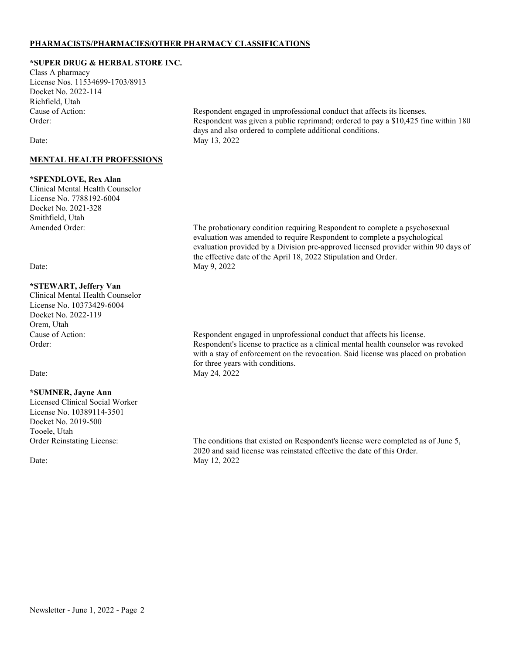# **PHARMACISTS/PHARMACIES/OTHER PHARMACY CLASSIFICATIONS**

### **\*SUPER DRUG & HERBAL STORE INC.**

Class A pharmacy License Nos. 11534699-1703/8913 Docket No. 2022-114 Richfield, Utah

### **MENTAL HEALTH PROFESSIONS**

#### **\*SPENDLOVE, Rex Alan**

Clinical Mental Health Counselor License No. 7788192-6004 Docket No. 2021-328 Smithfield, Utah

# **\*STEWART, Jeffery Van**

Clinical Mental Health Counselor License No. 10373429-6004 Docket No. 2022-119 Orem, Utah

#### **\*SUMNER, Jayne Ann**

Licensed Clinical Social Worker License No. 10389114-3501 Docket No. 2019-500 Tooele, Utah

Cause of Action: Respondent engaged in unprofessional conduct that affects its licenses. Order: Respondent was given a public reprimand; ordered to pay a \$10,425 fine within 180 days and also ordered to complete additional conditions. Date: May 13, 2022

The probationary condition requiring Respondent to complete a psychosexual evaluation was amended to require Respondent to complete a psychological evaluation provided by a Division pre-approved licensed provider within 90 days of the effective date of the April 18, 2022 Stipulation and Order. Date: May 9, 2022

Cause of Action: Respondent engaged in unprofessional conduct that affects his license. Order: Respondent's license to practice as a clinical mental health counselor was revoked with a stay of enforcement on the revocation. Said license was placed on probation for three years with conditions. Date: May 24, 2022

Order Reinstating License: The conditions that existed on Respondent's license were completed as of June 5, 2020 and said license was reinstated effective the date of this Order. Date: May 12, 2022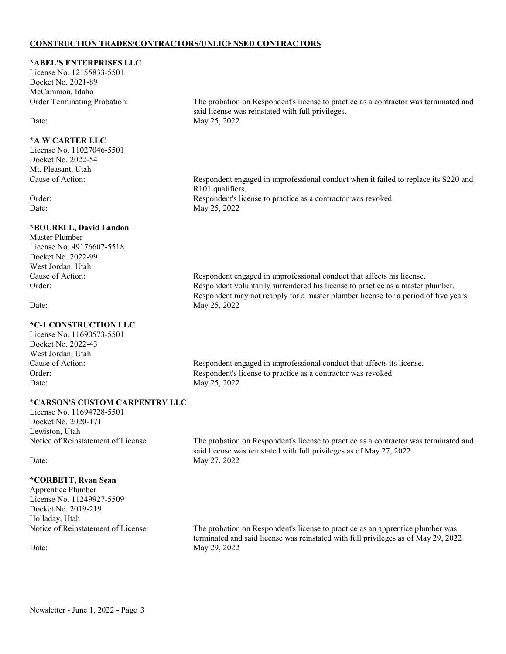### **CONSTRUCTION TRADES/CONTRACTORS/UNLICENSED CONTRACTORS**

### **\*ABEL'S ENTERPRISES LLC**

License No. 12155833-5501 Docket No. 2021-89 McCammon, Idaho

### **\*A W CARTER LLC**

License No. 11027046-5501 Docket No. 2022-54 Mt. Pleasant, Utah

# **\*BOURELL, David Landon**

Master Plumber License No. 49176607-5518 Docket No. 2022-99 West Jordan, Utah

# **\*C-1 CONSTRUCTION LLC**

License No. 11690573-5501 Docket No. 2022-43 West Jordan, Utah<br>Cause of Action: Date: May 25, 2022

Order Terminating Probation: The probation on Respondent's license to practice as a contractor was terminated and said license was reinstated with full privileges. Date: May 25, 2022

Cause of Action: Respondent engaged in unprofessional conduct when it failed to replace its S220 and R101 qualifiers. Order: Respondent's license to practice as a contractor was revoked. Date: May 25, 2022

Cause of Action: Respondent engaged in unprofessional conduct that affects his license. Order: Respondent voluntarily surrendered his license to practice as a master plumber. Respondent may not reapply for a master plumber license for a period of five years. Date: May 25, 2022

Respondent engaged in unprofessional conduct that affects its license. Order: Respondent's license to practice as a contractor was revoked.

### **\*CARSON'S CUSTOM CARPENTRY LLC**

License No. 11694728-5501 Docket No. 2020-171 Lewiston, Utah

### **\*CORBETT, Ryan Sean**

Apprentice Plumber License No. 11249927-5509 Docket No. 2019-219 Holladay, Utah

Notice of Reinstatement of License: The probation on Respondent's license to practice as a contractor was terminated and said license was reinstated with full privileges as of May 27, 2022 Date: May 27, 2022

Notice of Reinstatement of License: The probation on Respondent's license to practice as an apprentice plumber was terminated and said license was reinstated with full privileges as of May 29, 2022 Date: May 29, 2022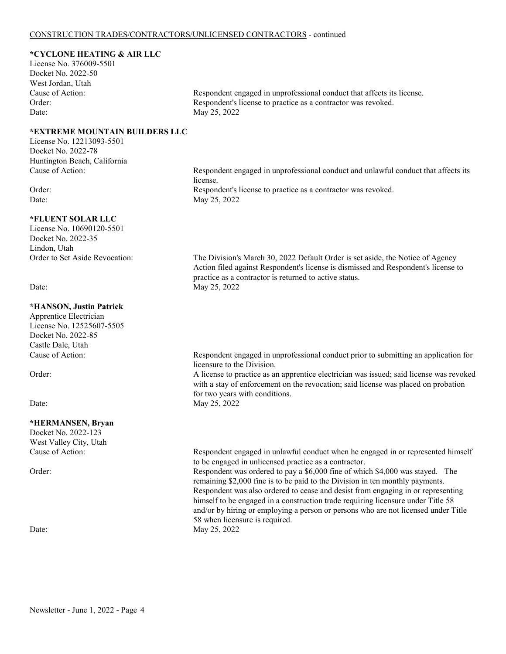### **\*CYCLONE HEATING & AIR LLC**

License No. 376009-5501 Docket No. 2022-50 West Jordan, Utah Date: May 25, 2022

**\*EXTREME MOUNTAIN BUILDERS LLC**

License No. 12213093-5501 Docket No. 2022-78 Huntington Beach, California

#### **\*FLUENT SOLAR LLC**

License No. 10690120-5501 Docket No. 2022-35 Lindon, Utah

#### **\*HANSON, Justin Patrick**

Apprentice Electrician License No. 12525607-5505 Docket No. 2022-85 Castle Dale, Utah<br>Cause of Action:

#### **\*HERMANSEN, Bryan**

Docket No. 2022-123 West Valley City, Utah

Cause of Action: Respondent engaged in unprofessional conduct that affects its license. Order: Respondent's license to practice as a contractor was revoked.

Cause of Action: Respondent engaged in unprofessional conduct and unlawful conduct that affects its license. Order: Respondent's license to practice as a contractor was revoked. Date: May 25, 2022

Order to Set Aside Revocation: The Division's March 30, 2022 Default Order is set aside, the Notice of Agency Action filed against Respondent's license is dismissed and Respondent's license to practice as a contractor is returned to active status. Date: May 25, 2022

> Respondent engaged in unprofessional conduct prior to submitting an application for licensure to the Division.

Order: A license to practice as an apprentice electrician was issued; said license was revoked with a stay of enforcement on the revocation; said license was placed on probation for two years with conditions.

Date: May 25, 2022

Cause of Action: Respondent engaged in unlawful conduct when he engaged in or represented himself to be engaged in unlicensed practice as a contractor. Order: Respondent was ordered to pay a \$6,000 fine of which \$4,000 was stayed. The remaining \$2,000 fine is to be paid to the Division in ten monthly payments. Respondent was also ordered to cease and desist from engaging in or representing himself to be engaged in a construction trade requiring licensure under Title 58 and/or by hiring or employing a person or persons who are not licensed under Title 58 when licensure is required. Date: May 25, 2022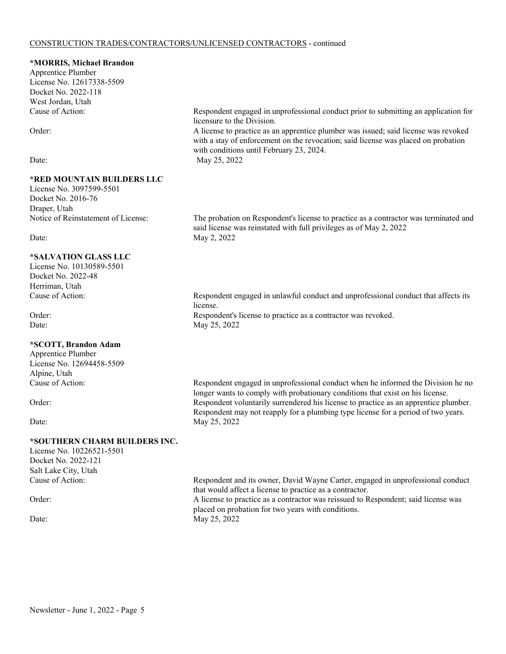#### CONSTRUCTION TRADES/CONTRACTORS/UNLICENSED CONTRACTORS - continued

#### **\*MORRIS, Michael Brandon**

Apprentice Plumber License No. 12617338-5509 Docket No. 2022-118 West Jordan, Utah

# **\*RED MOUNTAIN BUILDERS LLC**

License No. 3097599-5501 Docket No. 2016-76 Draper, Utah

# **\*SALVATION GLASS LLC**

License No. 10130589-5501 Docket No. 2022-48 Herriman, Utah<br>Cause of Action:

### **\*SCOTT, Brandon Adam**

Apprentice Plumber License No. 12694458-5509 Alpine, Utah

# **\*SOUTHERN CHARM BUILDERS INC.**

License No. 10226521-5501 Docket No. 2022-121 Salt Lake City, Utah

Cause of Action: Respondent engaged in unprofessional conduct prior to submitting an application for licensure to the Division.

Order: A license to practice as an apprentice plumber was issued; said license was revoked with a stay of enforcement on the revocation; said license was placed on probation with conditions until February 23, 2024. Date: May 25, 2022

Notice of Reinstatement of License: The probation on Respondent's license to practice as a contractor was terminated and said license was reinstated with full privileges as of May 2, 2022 Date: May 2, 2022

Respondent engaged in unlawful conduct and unprofessional conduct that affects its license. Order: Respondent's license to practice as a contractor was revoked. Date: May 25, 2022

Respondent engaged in unprofessional conduct when he informed the Division he no longer wants to comply with probationary conditions that exist on his license. Order: Respondent voluntarily surrendered his license to practice as an apprentice plumber. Respondent may not reapply for a plumbing type license for a period of two years. Date: May 25, 2022

Cause of Action: Respondent and its owner, David Wayne Carter, engaged in unprofessional conduct that would affect a license to practice as a contractor. Order: A license to practice as a contractor was reissued to Respondent; said license was placed on probation for two years with conditions. Date: May 25, 2022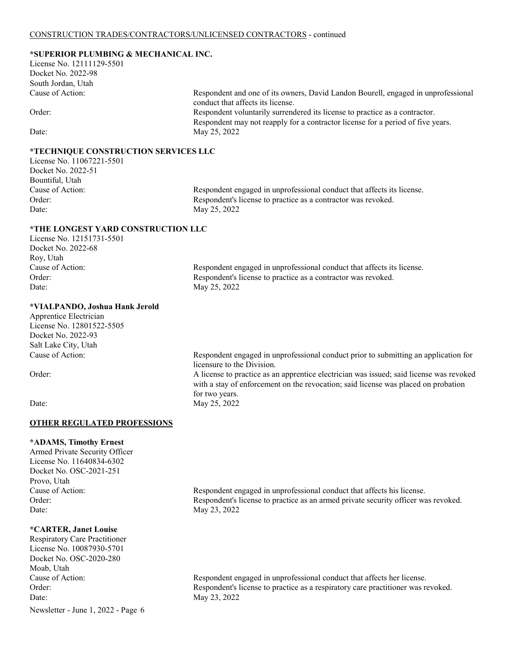# **\*SUPERIOR PLUMBING & MECHANICAL INC.**

License No. 12111129-5501 Docket No. 2022-98 South Jordan, Utah Cause of Action: Respondent and one of its owners, David Landon Bourell, engaged in unprofessional

# **\*TECHNIQUE CONSTRUCTION SERVICES LLC**

License No. 11067221-5501 Docket No. 2022-51 Bountiful, Utah Date: May 25, 2022

conduct that affects its license. Order: Respondent voluntarily surrendered its license to practice as a contractor. Respondent may not reapply for a contractor license for a period of five years. Date: May 25, 2022

Cause of Action: Respondent engaged in unprofessional conduct that affects its license. Order: Respondent's license to practice as a contractor was revoked.

### **\*THE LONGEST YARD CONSTRUCTION LLC**

License No. 12151731-5501 Docket No. 2022-68 Roy, Utah Date: May 25, 2022

Cause of Action: Respondent engaged in unprofessional conduct that affects its license. Order: Respondent's license to practice as a contractor was revoked.

#### **\*VIALPANDO, Joshua Hank Jerold**

Apprentice Electrician License No. 12801522-5505 Docket No. 2022-93 Salt Lake City, Utah

Respondent engaged in unprofessional conduct prior to submitting an application for licensure to the Division.

Order: A license to practice as an apprentice electrician was issued; said license was revoked with a stay of enforcement on the revocation; said license was placed on probation for two years. Date: May 25, 2022

### **OTHER REGULATED PROFESSIONS**

#### **\*ADAMS, Timothy Ernest**

Armed Private Security Officer License No. 11640834-6302 Docket No. OSC-2021-251 Provo, Utah Date: May 23, 2022

### **\*CARTER, Janet Louise**

Newsletter - June 1, 2022 - Page 6 Respiratory Care Practitioner License No. 10087930-5701 Docket No. OSC-2020-280 Moab, Utah Date: May 23, 2022

Cause of Action: Respondent engaged in unprofessional conduct that affects his license. Order: Respondent's license to practice as an armed private security officer was revoked.

Cause of Action: Respondent engaged in unprofessional conduct that affects her license. Order: Respondent's license to practice as a respiratory care practitioner was revoked.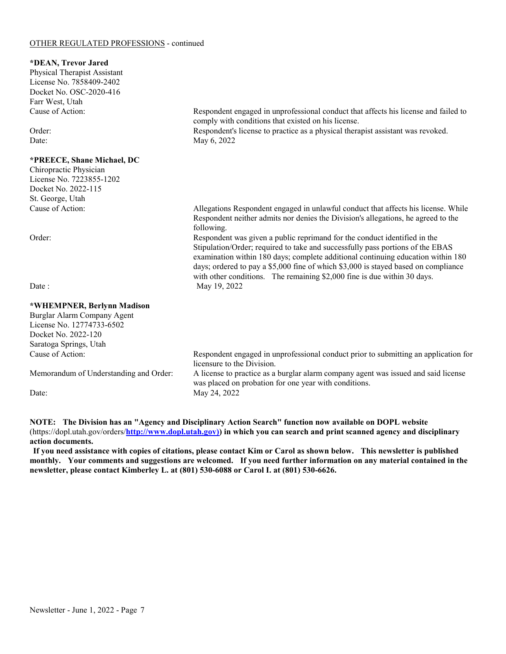#### OTHER REGULATED PROFESSIONS - continued

#### **\*DEAN, Trevor Jared**

Physical Therapist Assistant License No. 7858409-2402 Docket No. OSC-2020-416 Farr West, Utah

### **\*PREECE, Shane Michael, DC**

Chiropractic Physician License No. 7223855-1202 Docket No. 2022-115 St. George, Utah

# **\*WHEMPNER, Berlynn Madison**

Burglar Alarm Company Agent License No. 12774733-6502 Docket No. 2022-120 Saratoga Springs, Utah Cause of Action: Respondent engaged in unprofessional conduct prior to submitting an application for licensure to the Division. Memorandum of Understanding and Order: A license to practice as a burglar alarm company agent was issued and said license was placed on probation for one year with conditions. Date: May 24, 2022

**NOTE: The Division has an "Agency and Disciplinary Action Search" function now available on DOPL website**  (https://dopl.utah.gov/orders/**[http://www.dopl.utah.gov\)\)](http://www.dopl.utah.gov)/) in which you can search and print scanned agency and disciplinary action documents.**

**If you need assistance with copies of citations, please contact Kim or Carol as shown below. This newsletter is published monthly. Your comments and suggestions are welcomed. If you need further information on any material contained in the newsletter, please contact Kimberley L. at (801) 530-6088 or Carol I. at (801) 530-6626.**

Cause of Action: Respondent engaged in unprofessional conduct that affects his license and failed to comply with conditions that existed on his license.

Order: Respondent's license to practice as a physical therapist assistant was revoked. Date: May 6, 2022

> Allegations Respondent engaged in unlawful conduct that affects his license. While Respondent neither admits nor denies the Division's allegations, he agreed to the following.

Order: Respondent was given a public reprimand for the conduct identified in the Stipulation/Order; required to take and successfully pass portions of the EBAS examination within 180 days; complete additional continuing education within 180 days; ordered to pay a \$5,000 fine of which \$3,000 is stayed based on compliance with other conditions. The remaining \$2,000 fine is due within 30 days. Date : May 19, 2022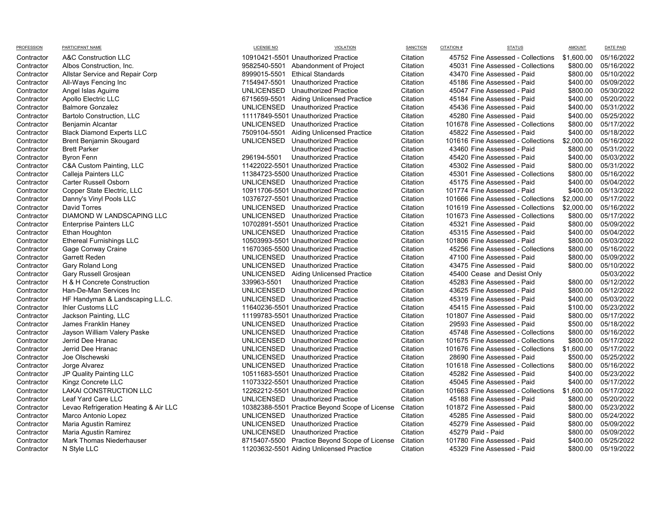| דו ואוטו בטטוטו | <b>FAILIUFAILIVAIL</b>                | LIVLIVUL IVV      |                                                | <b>PIDITOR</b> |                                    | <b>AIVIOUNT</b> | <b>UNILIAIU</b> |
|-----------------|---------------------------------------|-------------------|------------------------------------------------|----------------|------------------------------------|-----------------|-----------------|
| Contractor      | A&C Construction LLC                  |                   | 10910421-5501 Unauthorized Practice            | Citation       | 45752 Fine Assessed - Collections  | \$1,600.00      | 05/16/2022      |
| Contractor      | Albos Construction, Inc.              |                   | 9582540-5501 Abandonment of Project            | Citation       | 45031 Fine Assessed - Collections  | \$800.00        | 05/16/2022      |
| Contractor      | Allstar Service and Repair Corp       | 8999015-5501      | <b>Ethical Standards</b>                       | Citation       | 43470 Fine Assessed - Paid         | \$800.00        | 05/10/2022      |
| Contractor      | All-Ways Fencing Inc                  |                   | 7154947-5501 Unauthorized Practice             | Citation       | 45186 Fine Assessed - Paid         | \$400.00        | 05/09/2022      |
| Contractor      | Angel Islas Aguirre                   |                   | UNLICENSED Unauthorized Practice               | Citation       | 45047 Fine Assessed - Paid         | \$800.00        | 05/30/2022      |
| Contractor      | Apollo Electric LLC                   |                   | 6715659-5501 Aiding Unlicensed Practice        | Citation       | 45184 Fine Assessed - Paid         | \$400.00        | 05/20/2022      |
| Contractor      | <b>Balmore Gonzalez</b>               |                   | UNLICENSED Unauthorized Practice               | Citation       | 45436 Fine Assessed - Paid         | \$400.00        | 05/31/2022      |
| Contractor      | <b>Bartolo Construction, LLC</b>      |                   | 11117849-5501 Unauthorized Practice            | Citation       | 45280 Fine Assessed - Paid         | \$400.00        | 05/25/2022      |
| Contractor      | Benjamin Alcantar                     |                   | UNLICENSED Unauthorized Practice               | Citation       | 101678 Fine Assessed - Collections | \$800.00        | 05/17/2022      |
| Contractor      | <b>Black Diamond Experts LLC</b>      |                   | 7509104-5501 Aiding Unlicensed Practice        | Citation       | 45822 Fine Assessed - Paid         | \$400.00        | 05/18/2022      |
| Contractor      | Brent Benjamin Skougard               |                   | UNLICENSED Unauthorized Practice               | Citation       | 101616 Fine Assessed - Collections | \$2,000.00      | 05/16/2022      |
| Contractor      | <b>Brett Parker</b>                   |                   | Unauthorized Practice                          | Citation       | 43460 Fine Assessed - Paid         | \$800.00        | 05/31/2022      |
| Contractor      | <b>Byron Fenn</b>                     | 296194-5501       | Unauthorized Practice                          | Citation       | 45420 Fine Assessed - Paid         | \$400.00        | 05/03/2022      |
| Contractor      | C&A Custom Painting, LLC              |                   | 11422022-5501 Unauthorized Practice            | Citation       | 45302 Fine Assessed - Paid         | \$800.00        | 05/31/2022      |
| Contractor      | Calleja Painters LLC                  |                   | 11384723-5500 Unauthorized Practice            | Citation       | 45301 Fine Assessed - Collections  | \$800.00        | 05/16/2022      |
| Contractor      | Carter Russell Osborn                 |                   | UNLICENSED Unauthorized Practice               | Citation       | 45175 Fine Assessed - Paid         | \$400.00        | 05/04/2022      |
| Contractor      | Copper State Electric, LLC            |                   | 10911706-5501 Unauthorized Practice            | Citation       | 101774 Fine Assessed - Paid        | \$400.00        | 05/13/2022      |
| Contractor      | Danny's Vinyl Pools LLC               |                   | 10376727-5501 Unauthorized Practice            | Citation       | 101666 Fine Assessed - Collections | \$2,000.00      | 05/17/2022      |
| Contractor      | <b>David Torres</b>                   |                   | UNLICENSED Unauthorized Practice               | Citation       | 101619 Fine Assessed - Collections | \$2,000.00      | 05/16/2022      |
| Contractor      | DIAMOND W LANDSCAPING LLC             |                   | UNLICENSED Unauthorized Practice               | Citation       | 101673 Fine Assessed - Collections | \$800.00        | 05/17/2022      |
| Contractor      | <b>Enterprise Painters LLC</b>        |                   | 10702891-5501 Unauthorized Practice            | Citation       | 45321 Fine Assessed - Paid         | \$800.00        | 05/09/2022      |
| Contractor      | Ethan Houghton                        |                   | UNLICENSED Unauthorized Practice               | Citation       | 45315 Fine Assessed - Paid         | \$400.00        | 05/04/2022      |
| Contractor      | <b>Ethereal Furnishings LLC</b>       |                   | 10503993-5501 Unauthorized Practice            | Citation       | 101806 Fine Assessed - Paid        | \$800.00        | 05/03/2022      |
| Contractor      | Gage Conway Craine                    |                   | 11670365-5500 Unauthorized Practice            | Citation       | 45256 Fine Assessed - Collections  | \$800.00        | 05/16/2022      |
| Contractor      | <b>Garrett Reden</b>                  |                   | UNLICENSED Unauthorized Practice               | Citation       | 47100 Fine Assessed - Paid         | \$800.00        | 05/09/2022      |
| Contractor      | Gary Roland Long                      |                   | UNLICENSED Unauthorized Practice               | Citation       | 43475 Fine Assessed - Paid         | \$800.00        | 05/10/2022      |
| Contractor      | Gary Russell Grosjean                 |                   | UNLICENSED Aiding Unlicensed Practice          | Citation       | 45400 Cease and Desist Only        |                 | 05/03/2022      |
| Contractor      | H & H Concrete Construction           | 339963-5501       | Unauthorized Practice                          | Citation       | 45283 Fine Assessed - Paid         | \$800.00        | 05/12/2022      |
| Contractor      | Han-De-Man Services Inc               |                   | UNLICENSED Unauthorized Practice               | Citation       | 43625 Fine Assessed - Paid         | \$800.00        | 05/12/2022      |
| Contractor      | HF Handyman & Landscaping L.L.C.      |                   | UNLICENSED Unauthorized Practice               | Citation       | 45319 Fine Assessed - Paid         | \$400.00        | 05/03/2022      |
| Contractor      | Ihler Customs LLC                     |                   | 11640236-5501 Unauthorized Practice            | Citation       | 45415 Fine Assessed - Paid         | \$100.00        | 05/23/2022      |
| Contractor      | Jackson Painting, LLC                 |                   | 11199783-5501 Unauthorized Practice            | Citation       | 101807 Fine Assessed - Paid        | \$800.00        | 05/17/2022      |
| Contractor      | James Franklin Haney                  |                   | UNLICENSED Unauthorized Practice               | Citation       | 29593 Fine Assessed - Paid         | \$500.00        | 05/18/2022      |
| Contractor      | Jayson William Valery Paske           |                   | UNLICENSED Unauthorized Practice               | Citation       | 45748 Fine Assessed - Collections  | \$800.00        | 05/16/2022      |
| Contractor      | Jerrid Dee Hranac                     |                   | UNLICENSED Unauthorized Practice               | Citation       | 101675 Fine Assessed - Collections | \$800.00        | 05/17/2022      |
| Contractor      | Jerrid Dee Hranac                     | UNLICENSED        | Unauthorized Practice                          | Citation       | 101676 Fine Assessed - Collections | \$1,600.00      | 05/17/2022      |
| Contractor      | Joe Olschewski                        | <b>UNLICENSED</b> | Unauthorized Practice                          | Citation       | 28690 Fine Assessed - Paid         | \$500.00        | 05/25/2022      |
| Contractor      | Jorge Alvarez                         |                   | UNLICENSED Unauthorized Practice               | Citation       | 101618 Fine Assessed - Collections | \$800.00        | 05/16/2022      |
| Contractor      | JP Quality Painting LLC               |                   | 10511683-5501 Unauthorized Practice            | Citation       | 45282 Fine Assessed - Paid         | \$400.00        | 05/23/2022      |
| Contractor      | Kingz Concrete LLC                    |                   | 11073322-5501 Unauthorized Practice            | Citation       | 45045 Fine Assessed - Paid         | \$400.00        | 05/17/2022      |
| Contractor      | LAKAI CONSTRUCTION LLC                |                   | 12262212-5501 Unauthorized Practice            | Citation       | 101663 Fine Assessed - Collections | \$1,600.00      | 05/17/2022      |
| Contractor      | Leaf Yard Care LLC                    |                   | UNLICENSED Unauthorized Practice               | Citation       | 45188 Fine Assessed - Paid         | \$800.00        | 05/20/2022      |
| Contractor      | Levao Refrigeration Heating & Air LLC |                   | 10382388-5501 Practice Beyond Scope of License | Citation       | 101872 Fine Assessed - Paid        | \$800.00        | 05/23/2022      |
| Contractor      | Marco Antonio Lopez                   |                   | UNLICENSED Unauthorized Practice               | Citation       | 45285 Fine Assessed - Paid         | \$800.00        | 05/24/2022      |
| Contractor      | Maria Agustin Ramirez                 |                   | UNLICENSED Unauthorized Practice               | Citation       | 45279 Fine Assessed - Paid         | \$800.00        | 05/09/2022      |
| Contractor      | Maria Agustin Ramirez                 |                   | UNLICENSED Unauthorized Practice               | Citation       | 45279 Paid - Paid                  | \$800.00        | 05/09/2022      |
| Contractor      | Mark Thomas Niederhauser              |                   | 8715407-5500 Practice Beyond Scope of License  | Citation       | 101780 Fine Assessed - Paid        | \$400.00        | 05/25/2022      |
| Contractor      | N Style LLC                           |                   | 11203632-5501 Aiding Unlicensed Practice       | Citation       | 45329 Fine Assessed - Paid         | \$800.00        | 05/19/2022      |

| <b>LICENSE NO</b> | <b>VIOLATION</b>                              | <b>SANCTIO</b> |
|-------------------|-----------------------------------------------|----------------|
|                   | 0910421-5501 Unauthorized Practice            | Citatior       |
| 582540-5501       | Abandonment of Project                        | Citatior       |
| 999015-5501       | <b>Ethical Standards</b>                      | Citatior       |
| 154947-5501       | <b>Unauthorized Practice</b>                  | Citatior       |
| <b>NLICENSED</b>  | <b>Unauthorized Practice</b>                  | Citatior       |
| 715659-5501       | <b>Aiding Unlicensed Practice</b>             | Citatior       |
| <b>NLICENSED</b>  | <b>Unauthorized Practice</b>                  | Citatior       |
|                   | 1117849-5501 Unauthorized Practice            | Citatior       |
| <b>NLICENSED</b>  | <b>Unauthorized Practice</b>                  | Citatior       |
| 509104-5501       | <b>Aiding Unlicensed Practice</b>             | Citatior       |
| <b>NLICENSED</b>  | <b>Unauthorized Practice</b>                  | Citatior       |
|                   | <b>Unauthorized Practice</b>                  | Citatior       |
| 96194-5501        | <b>Unauthorized Practice</b>                  | Citatior       |
|                   | 1422022-5501 Unauthorized Practice            | Citatior       |
|                   | 1384723-5500 Unauthorized Practice            | Citatior       |
|                   | NLICENSED Unauthorized Practice               | Citatior       |
|                   | 0911706-5501 Unauthorized Practice            | Citatior       |
|                   | 0376727-5501 Unauthorized Practice            | Citatior       |
| NLICENSED         | Unauthorized Practice                         | Citatior       |
| <b>NLICENSED</b>  | <b>Unauthorized Practice</b>                  | Citatior       |
|                   | 0702891-5501 Unauthorized Practice            | Citatior       |
| NLICENSED         | <b>Unauthorized Practice</b>                  | Citatior       |
|                   | 0503993-5501 Unauthorized Practice            | Citatior       |
|                   | 1670365-5500 Unauthorized Practice            | Citatior       |
| <b>NLICENSED</b>  | <b>Unauthorized Practice</b>                  | Citatior       |
| <b>NLICENSED</b>  | <b>Unauthorized Practice</b>                  | Citatior       |
| <b>NLICENSED</b>  | <b>Aiding Unlicensed Practice</b>             | Citatior       |
| 39963-5501        | <b>Unauthorized Practice</b>                  | Citatior       |
| <b>NLICENSED</b>  | <b>Unauthorized Practice</b>                  | Citatior       |
| <b>NLICENSED</b>  | <b>Unauthorized Practice</b>                  | Citatior       |
|                   | 1640236-5501 Unauthorized Practice            | Citatior       |
|                   | 1199783-5501 Unauthorized Practice            | Citatior       |
| NLICENSED         | <b>Unauthorized Practice</b>                  | Citatior       |
| <b>NLICENSED</b>  | <b>Unauthorized Practice</b>                  | Citatior       |
| <b>NLICENSED</b>  | <b>Unauthorized Practice</b>                  | Citatior       |
| NLICENSED         | Unauthorized Practice                         | Citatior       |
| NLICENSED         | <b>Unauthorized Practice</b>                  | Citatior       |
| <b>NLICENSED</b>  | <b>Unauthorized Practice</b>                  | Citatior       |
|                   | 0511683-5501 Unauthorized Practice            | Citatior       |
|                   | 1073322-5501 Unauthorized Practice            | Citatior       |
|                   | 2262212-5501 Unauthorized Practice            | Citatior       |
| <b>NLICENSED</b>  | <b>Unauthorized Practice</b>                  | Citatior       |
|                   | 0382388-5501 Practice Beyond Scope of License | Citatior       |
| <b>NLICENSED</b>  | <b>Unauthorized Practice</b>                  | Citatior       |
| <b>NLICENSED</b>  | <b>Unauthorized Practice</b>                  | Citatior       |
| NLICENSED         | <b>Unauthorized Practice</b>                  | Citatior       |
| 715407-5500       | Practice Beyond Scope of License              | Citatior       |
|                   | 1203632-5501 Aiding Unlicensed Practice       | Citatior       |

| PROFESSION | PARTICIPANT NAME                      | <b>LICENSE NO</b> | <b>VIOLATION</b>                               | <b>SANCTION</b> | CITATION # | <b>STATUS</b>                      | <b>AMOUNT</b> | DATE PAID  |
|------------|---------------------------------------|-------------------|------------------------------------------------|-----------------|------------|------------------------------------|---------------|------------|
| Contractor | A&C Construction LLC                  |                   | 10910421-5501 Unauthorized Practice            | Citation        |            | 45752 Fine Assessed - Collections  | \$1,600.00    | 05/16/202  |
| Contractor | Albos Construction, Inc.              |                   | 9582540-5501 Abandonment of Project            | Citation        |            | 45031 Fine Assessed - Collections  | \$800.00      | 05/16/202  |
| Contractor | Allstar Service and Repair Corp       | 8999015-5501      | <b>Ethical Standards</b>                       | Citation        |            | 43470 Fine Assessed - Paid         | \$800.00      | 05/10/202  |
| Contractor | All-Ways Fencing Inc                  |                   | 7154947-5501 Unauthorized Practice             | Citation        |            | 45186 Fine Assessed - Paid         | \$400.00      | 05/09/202  |
| Contractor | Angel Islas Aguirre                   | UNLICENSED        | Unauthorized Practice                          | Citation        |            | 45047 Fine Assessed - Paid         | \$800.00      | 05/30/202  |
| Contractor | Apollo Electric LLC                   |                   | 6715659-5501 Aiding Unlicensed Practice        | Citation        |            | 45184 Fine Assessed - Paid         | \$400.00      | 05/20/202  |
| Contractor | <b>Balmore Gonzalez</b>               |                   | UNLICENSED Unauthorized Practice               | Citation        |            | 45436 Fine Assessed - Paid         | \$400.00      | 05/31/202  |
| Contractor | <b>Bartolo Construction, LLC</b>      |                   | 11117849-5501 Unauthorized Practice            | Citation        |            | 45280 Fine Assessed - Paid         | \$400.00      | 05/25/202  |
| Contractor | Benjamin Alcantar                     |                   | UNLICENSED Unauthorized Practice               | Citation        |            | 101678 Fine Assessed - Collections | \$800.00      | 05/17/202  |
| Contractor | <b>Black Diamond Experts LLC</b>      |                   | 7509104-5501 Aiding Unlicensed Practice        | Citation        |            | 45822 Fine Assessed - Paid         | \$400.00      | 05/18/202  |
| Contractor | Brent Benjamin Skougard               |                   | UNLICENSED Unauthorized Practice               | Citation        |            | 101616 Fine Assessed - Collections | \$2,000.00    | 05/16/202  |
| Contractor | <b>Brett Parker</b>                   |                   | Unauthorized Practice                          | Citation        |            | 43460 Fine Assessed - Paid         | \$800.00      | 05/31/202  |
| Contractor | <b>Byron Fenn</b>                     | 296194-5501       | Unauthorized Practice                          | Citation        |            | 45420 Fine Assessed - Paid         | \$400.00      | 05/03/202  |
| Contractor | C&A Custom Painting, LLC              |                   | 11422022-5501 Unauthorized Practice            | Citation        |            | 45302 Fine Assessed - Paid         | \$800.00      | 05/31/202  |
| Contractor | Calleja Painters LLC                  |                   | 11384723-5500 Unauthorized Practice            | Citation        |            | 45301 Fine Assessed - Collections  | \$800.00      | 05/16/202  |
| Contractor | <b>Carter Russell Osborn</b>          |                   | UNLICENSED Unauthorized Practice               | Citation        |            | 45175 Fine Assessed - Paid         | \$400.00      | 05/04/202  |
| Contractor | Copper State Electric, LLC            |                   | 10911706-5501 Unauthorized Practice            | Citation        |            | 101774 Fine Assessed - Paid        | \$400.00      | 05/13/202  |
| Contractor | Danny's Vinyl Pools LLC               |                   | 10376727-5501 Unauthorized Practice            | Citation        |            | 101666 Fine Assessed - Collections | \$2,000.00    | 05/17/202  |
| Contractor | David Torres                          |                   | UNLICENSED Unauthorized Practice               | Citation        |            | 101619 Fine Assessed - Collections | \$2,000.00    | 05/16/202  |
| Contractor | DIAMOND W LANDSCAPING LLC             |                   | UNLICENSED Unauthorized Practice               | Citation        |            | 101673 Fine Assessed - Collections | \$800.00      | 05/17/202  |
| Contractor | Enterprise Painters LLC               |                   | 10702891-5501 Unauthorized Practice            | Citation        |            | 45321 Fine Assessed - Paid         | \$800.00      | 05/09/202  |
| Contractor | Ethan Houghton                        |                   | UNLICENSED Unauthorized Practice               | Citation        |            | 45315 Fine Assessed - Paid         | \$400.00      | 05/04/202  |
| Contractor | <b>Ethereal Furnishings LLC</b>       |                   | 10503993-5501 Unauthorized Practice            | Citation        |            | 101806 Fine Assessed - Paid        | \$800.00      | 05/03/202  |
| Contractor | Gage Conway Craine                    |                   | 11670365-5500 Unauthorized Practice            | Citation        |            | 45256 Fine Assessed - Collections  | \$800.00      | 05/16/202  |
| Contractor | Garrett Reden                         |                   | UNLICENSED Unauthorized Practice               | Citation        |            | 47100 Fine Assessed - Paid         | \$800.00      | 05/09/202  |
| Contractor | Gary Roland Long                      |                   | UNLICENSED Unauthorized Practice               | Citation        |            | 43475 Fine Assessed - Paid         | \$800.00      | 05/10/202  |
| Contractor | Gary Russell Grosjean                 |                   | UNLICENSED Aiding Unlicensed Practice          | Citation        |            | 45400 Cease and Desist Only        |               | 05/03/202  |
| Contractor | H & H Concrete Construction           | 339963-5501       | Unauthorized Practice                          | Citation        |            | 45283 Fine Assessed - Paid         | \$800.00      | 05/12/202  |
| Contractor | Han-De-Man Services Inc               |                   | UNLICENSED Unauthorized Practice               | Citation        |            | 43625 Fine Assessed - Paid         | \$800.00      | 05/12/202  |
| Contractor | HF Handyman & Landscaping L.L.C.      |                   | UNLICENSED Unauthorized Practice               | Citation        |            | 45319 Fine Assessed - Paid         | \$400.00      | 05/03/202  |
| Contractor | <b>Ihler Customs LLC</b>              |                   | 11640236-5501 Unauthorized Practice            | Citation        |            | 45415 Fine Assessed - Paid         | \$100.00      | 05/23/202  |
| Contractor | Jackson Painting, LLC                 |                   | 11199783-5501 Unauthorized Practice            | Citation        |            | 101807 Fine Assessed - Paid        | \$800.00      | 05/17/202  |
| Contractor | James Franklin Haney                  |                   | UNLICENSED Unauthorized Practice               | Citation        |            | 29593 Fine Assessed - Paid         | \$500.00      | 05/18/202  |
| Contractor | Jayson William Valery Paske           |                   | UNLICENSED Unauthorized Practice               | Citation        |            | 45748 Fine Assessed - Collections  | \$800.00      | 05/16/202  |
| Contractor | Jerrid Dee Hranac                     |                   | UNLICENSED Unauthorized Practice               | Citation        |            | 101675 Fine Assessed - Collections | \$800.00      | 05/17/202  |
| Contractor | Jerrid Dee Hranac                     |                   | UNLICENSED Unauthorized Practice               | Citation        |            | 101676 Fine Assessed - Collections | \$1,600.00    | 05/17/202  |
| Contractor | Joe Olschewski                        |                   | UNLICENSED Unauthorized Practice               | Citation        |            | 28690 Fine Assessed - Paid         | \$500.00      | 05/25/202  |
| Contractor | Jorge Alvarez                         |                   | UNLICENSED Unauthorized Practice               | Citation        |            | 101618 Fine Assessed - Collections | \$800.00      | 05/16/202  |
| Contractor | JP Quality Painting LLC               |                   | 10511683-5501 Unauthorized Practice            | Citation        |            | 45282 Fine Assessed - Paid         | \$400.00      | 05/23/202  |
| Contractor | Kingz Concrete LLC                    |                   | 11073322-5501 Unauthorized Practice            | Citation        |            | 45045 Fine Assessed - Paid         | \$400.00      | 05/17/202  |
| Contractor | LAKAI CONSTRUCTION LLC                |                   | 12262212-5501 Unauthorized Practice            | Citation        |            | 101663 Fine Assessed - Collections | \$1,600.00    | 05/17/202  |
| Contractor | Leaf Yard Care LLC                    |                   | UNLICENSED Unauthorized Practice               | Citation        |            | 45188 Fine Assessed - Paid         | \$800.00      | 05/20/202  |
| Contractor | Levao Refrigeration Heating & Air LLC |                   | 10382388-5501 Practice Beyond Scope of License | Citation        |            | 101872 Fine Assessed - Paid        | \$800.00      | 05/23/202  |
| Contractor | Marco Antonio Lopez                   |                   | UNLICENSED Unauthorized Practice               | Citation        |            | 45285 Fine Assessed - Paid         | \$800.00      | 05/24/202  |
| Contractor | Maria Agustin Ramirez                 |                   | UNLICENSED Unauthorized Practice               | Citation        |            | 45279 Fine Assessed - Paid         | \$800.00      | 05/09/202  |
| Contractor | Maria Agustin Ramirez                 |                   | UNLICENSED Unauthorized Practice               | Citation        |            | 45279 Paid - Paid                  | \$800.00      | 05/09/202  |
| Contractor | Mark Thomas Niederhauser              |                   | 8715407-5500 Practice Beyond Scope of License  | Citation        |            | 101780 Fine Assessed - Paid        | \$400.00      | 05/25/202  |
| Contractor | N Style LLC                           |                   | 11203632-5501 Aiding Unlicensed Practice       | Citation        |            | 45329 Fine Assessed - Paid         | \$800.00      | 05/19/2021 |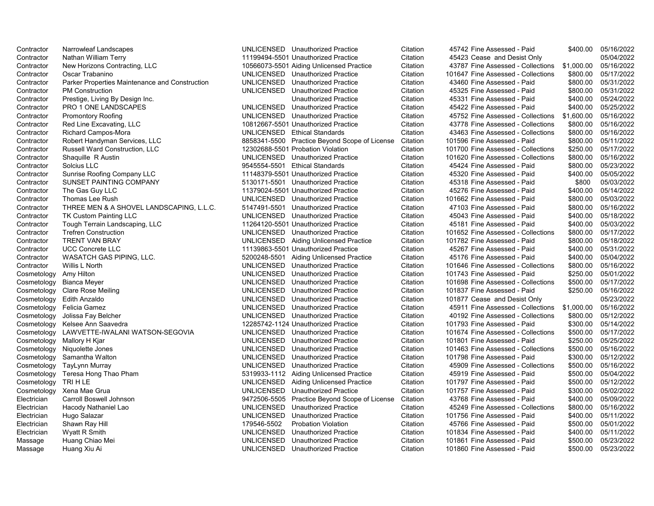| Contractor                          | Narrowleaf Landscapes                          | UNLICENSED Unauthorized Practice                                                  | Citation             | 45742 Fine Assessed - Paid                                 | \$400.00             | 05/16/2022               |
|-------------------------------------|------------------------------------------------|-----------------------------------------------------------------------------------|----------------------|------------------------------------------------------------|----------------------|--------------------------|
| Contractor                          | Nathan William Terry                           | 11199494-5501 Unauthorized Practice                                               | Citation             | 45423 Cease and Desist Only                                |                      | 05/04/2022               |
| Contractor                          | New Horizons Contracting, LLC                  | 10566073-5501 Aiding Unlicensed Practice                                          | Citation             | 43787 Fine Assessed - Collections                          | \$1,000.00           | 05/16/2022               |
| Contractor                          | Oscar Trabanino                                | UNLICENSED Unauthorized Practice                                                  | Citation             | 101647 Fine Assessed - Collections                         | \$800.00             | 05/17/2022               |
| Contractor                          | Parker Properties Maintenance and Construction | UNLICENSED Unauthorized Practice                                                  | Citation             | 43460 Fine Assessed - Paid                                 | \$800.00             | 05/31/2022               |
| Contractor                          | <b>PM Construction</b>                         | UNLICENSED Unauthorized Practice                                                  | Citation             | 45325 Fine Assessed - Paid                                 | \$800.00             | 05/31/2022               |
| Contractor                          | Prestige, Living By Design Inc.                | Unauthorized Practice                                                             | Citation             | 45331 Fine Assessed - Paid                                 | \$400.00             | 05/24/2022               |
| Contractor                          | PRO 1 ONE LANDSCAPES                           | UNLICENSED Unauthorized Practice                                                  | Citation             | 45422 Fine Assessed - Paid                                 | \$400.00             | 05/25/2022               |
| Contractor                          | <b>Promontory Roofing</b>                      | UNLICENSED Unauthorized Practice                                                  | Citation             | 45752 Fine Assessed - Collections                          | \$1,600.00           | 05/16/2022               |
| Contractor                          | Red Line Excavating, LLC                       | 10812667-5501 Unauthorized Practice                                               | Citation             | 43778 Fine Assessed - Collections                          | \$800.00             | 05/16/2022               |
| Contractor                          | Richard Campos-Mora                            | UNLICENSED Ethical Standards                                                      | Citation             | 43463 Fine Assessed - Collections                          | \$800.00             | 05/16/2022               |
| Contractor                          | Robert Handyman Services, LLC                  | 8858341-5500 Practice Beyond Scope of License                                     | Citation             | 101596 Fine Assessed - Paid                                | \$800.00             | 05/11/2022               |
| Contractor                          | <b>Russell Ward Construction, LLC</b>          | 12302688-5501 Probation Violation                                                 | Citation             | 101700 Fine Assessed - Collections                         | \$250.00             | 05/17/2022               |
| Contractor                          | Shaquille R Austin                             | UNLICENSED Unauthorized Practice                                                  | Citation             | 101620 Fine Assessed - Collections                         | \$800.00             | 05/16/2022               |
| Contractor                          | Solcius LLC                                    | 9545554-5501 Ethical Standards                                                    | Citation             | 45424 Fine Assessed - Paid                                 | \$800.00             | 05/23/2022               |
| Contractor                          | Sunrise Roofing Company LLC                    | 11148379-5501 Unauthorized Practice                                               | Citation             | 45320 Fine Assessed - Paid                                 | \$400.00             | 05/05/2022               |
| Contractor                          | SUNSET PAINTING COMPANY                        | 5130171-5501 Unauthorized Practice                                                | Citation             | 45318 Fine Assessed - Paid                                 | \$800                | 05/03/2022               |
| Contractor                          | The Gas Guy LLC                                | 11379024-5501 Unauthorized Practice                                               | Citation             | 45276 Fine Assessed - Paid                                 | \$400.00             | 05/14/2022               |
| Contractor                          | Thomas Lee Rush                                | UNLICENSED Unauthorized Practice                                                  | Citation             | 101662 Fine Assessed - Paid                                | \$800.00             | 05/03/2022               |
| Contractor                          | THREE MEN & A SHOVEL LANDSCAPING, L.L.C.       | 5147491-5501 Unauthorized Practice                                                | Citation             | 47103 Fine Assessed - Paid                                 | \$800.00             | 05/16/2022               |
| Contractor                          | <b>TK Custom Painting LLC</b>                  | UNLICENSED Unauthorized Practice                                                  | Citation             | 45043 Fine Assessed - Paid                                 | \$400.00             | 05/18/2022               |
| Contractor                          | Tough Terrain Landscaping, LLC                 | 11264120-5501 Unauthorized Practice                                               | Citation             | 45181 Fine Assessed - Paid                                 | \$400.00             | 05/03/2022               |
| Contractor                          | <b>Trefren Construction</b>                    | UNLICENSED Unauthorized Practice                                                  | Citation             | 101652 Fine Assessed - Collections                         | \$800.00             | 05/17/2022               |
| Contractor                          | <b>TRENT VAN BRAY</b>                          | UNLICENSED Aiding Unlicensed Practice                                             | Citation             | 101782 Fine Assessed - Paid                                | \$800.00             | 05/18/2022               |
| Contractor                          | <b>UCC Concrete LLC</b>                        | 11139863-5501 Unauthorized Practice                                               | Citation             | 45267 Fine Assessed - Paid                                 | \$400.00             | 05/31/2022               |
| Contractor                          | WASATCH GAS PIPING, LLC.                       | 5200248-5501 Aiding Unlicensed Practice                                           | Citation             | 45176 Fine Assessed - Paid                                 | \$400.00             | 05/04/2022               |
| Contractor                          | Willis L North                                 | UNLICENSED Unauthorized Practice                                                  | Citation             | 101646 Fine Assessed - Collections                         | \$800.00             | 05/16/2022               |
| Cosmetology                         | Amy Hilton                                     | UNLICENSED Unauthorized Practice                                                  | Citation             | 101743 Fine Assessed - Paid                                | \$250.00             | 05/01/2022               |
| Cosmetology                         | <b>Bianca Meyer</b>                            | UNLICENSED Unauthorized Practice                                                  | Citation             | 101698 Fine Assessed - Collections                         | \$500.00             | 05/17/2022               |
|                                     | Cosmetology Clare Rose Meiling                 | UNLICENSED Unauthorized Practice                                                  | Citation             | 101837 Fine Assessed - Paid                                | \$250.00             | 05/16/2022               |
|                                     | Cosmetology Edith Anzaldo                      | UNLICENSED Unauthorized Practice                                                  | Citation             | 101877 Cease and Desist Only                               |                      | 05/23/2022               |
|                                     | Cosmetology Felicia Gamez                      | UNLICENSED Unauthorized Practice                                                  | Citation             | 45911 Fine Assessed - Collections                          | \$1,000.00           | 05/16/2022               |
|                                     | Cosmetology Jolissa Fay Belcher                | UNLICENSED Unauthorized Practice                                                  | Citation             | 40192 Fine Assessed - Collections                          | \$800.00             | 05/12/2022               |
|                                     | Cosmetology Kelsee Ann Saavedra                | 12285742-1124 Unauthorized Practice                                               | Citation             | 101793 Fine Assessed - Paid                                | \$300.00             | 05/14/2022               |
|                                     | Cosmetology LAWVETTE-IWALANI WATSON-SEGOVIA    | UNLICENSED Unauthorized Practice                                                  | Citation             | 101674 Fine Assessed - Collections                         | \$500.00             | 05/17/2022               |
| Cosmetology                         | Mallory H Kjar                                 | UNLICENSED Unauthorized Practice                                                  | Citation             | 101801 Fine Assessed - Paid                                | \$250.00             | 05/25/2022               |
| Cosmetology                         | Niquolette Jones                               | UNLICENSED Unauthorized Practice                                                  | Citation             | 101463 Fine Assessed - Collections                         | \$500.00             | 05/16/2022               |
| Cosmetology                         | Samantha Walton                                | UNLICENSED Unauthorized Practice                                                  | Citation             | 101798 Fine Assessed - Paid                                | \$300.00             | 05/12/2022               |
|                                     | TayLynn Murray                                 | UNLICENSED Unauthorized Practice                                                  | Citation             | 45909 Fine Assessed - Collections                          | \$500.00             | 05/16/2022               |
| Cosmetology                         |                                                |                                                                                   | Citation             | 45919 Fine Assessed - Paid                                 | \$500.00             |                          |
| Cosmetology<br>Cosmetology TRI H LE | Teresa Hong Thao Pham                          | 5319933-1112 Aiding Unlicensed Practice                                           |                      |                                                            | \$500.00             | 05/04/2022<br>05/12/2022 |
|                                     | Cosmetology Xena Mae Grua                      | UNLICENSED Aiding Unlicensed Practice                                             | Citation<br>Citation | 101797 Fine Assessed - Paid<br>101757 Fine Assessed - Paid |                      |                          |
|                                     | Carroll Boswell Johnson                        | UNLICENSED Unauthorized Practice                                                  |                      | 43768 Fine Assessed - Paid                                 | \$300.00<br>\$400.00 | 05/02/2022<br>05/09/2022 |
| Electrician                         |                                                | 9472506-5505 Practice Beyond Scope of License<br>UNLICENSED Unauthorized Practice | Citation             |                                                            |                      |                          |
| Electrician                         | Hacody Nathaniel Lao                           |                                                                                   | Citation             | 45249 Fine Assessed - Collections                          | \$800.00             | 05/16/2022               |
| Electrician                         | Hugo Salazar                                   | UNLICENSED Unauthorized Practice                                                  | Citation             | 101756 Fine Assessed - Paid                                | \$400.00             | 05/11/2022               |
| Electrician                         | Shawn Ray Hill                                 | 179546-5502<br><b>Probation Violation</b>                                         | Citation             | 45766 Fine Assessed - Paid                                 | \$500.00             | 05/01/2022               |
| Electrician                         | Wyatt R Smith                                  | UNLICENSED Unauthorized Practice                                                  | Citation             | 101834 Fine Assessed - Paid                                | \$400.00             | 05/11/2022               |
| Massage                             | Huang Chiao Mei                                | UNLICENSED Unauthorized Practice                                                  | Citation             | 101861 Fine Assessed - Paid                                | \$500.00             | 05/23/2022               |
| Massage                             | Huang Xiu Ai                                   | UNLICENSED Unauthorized Practice                                                  | Citation             | 101860 Fine Assessed - Paid                                | \$500.00             | 05/23/2022               |

| Fine Assessed - Paid        | \$400.00   | 05/16/2022 |
|-----------------------------|------------|------------|
| Cease and Desist Only       |            | 05/04/2022 |
| Fine Assessed - Collections | \$1,000.00 | 05/16/2022 |
| Fine Assessed - Collections | \$800.00   | 05/17/2022 |
| Fine Assessed - Paid        | \$800.00   | 05/31/2022 |
| Fine Assessed - Paid        | \$800.00   | 05/31/2022 |
| Fine Assessed - Paid        | \$400.00   | 05/24/2022 |
| Fine Assessed - Paid        | \$400.00   | 05/25/2022 |
| Fine Assessed - Collections | \$1,600.00 | 05/16/2022 |
| Fine Assessed - Collections | \$800.00   | 05/16/2022 |
| Fine Assessed - Collections | \$800.00   | 05/16/2022 |
| Fine Assessed - Paid        | \$800.00   | 05/11/2022 |
| Fine Assessed - Collections | \$250.00   | 05/17/2022 |
| Fine Assessed - Collections | \$800.00   | 05/16/2022 |
| Fine Assessed - Paid        | \$800.00   | 05/23/2022 |
| Fine Assessed - Paid        | \$400.00   | 05/05/2022 |
| Fine Assessed - Paid        | \$800      | 05/03/2022 |
| Fine Assessed - Paid        | \$400.00   | 05/14/2022 |
| Fine Assessed - Paid        | \$800.00   | 05/03/2022 |
| Fine Assessed - Paid        | \$800.00   | 05/16/2022 |
| Fine Assessed - Paid        | \$400.00   | 05/18/2022 |
| Fine Assessed - Paid        | \$400.00   | 05/03/2022 |
| Fine Assessed - Collections | \$800.00   | 05/17/2022 |
| Fine Assessed - Paid        | \$800.00   | 05/18/2022 |
| Fine Assessed - Paid        | \$400.00   | 05/31/2022 |
| Fine Assessed - Paid        | \$400.00   | 05/04/2022 |
| Fine Assessed - Collections | \$800.00   | 05/16/2022 |
| Fine Assessed - Paid        | \$250.00   | 05/01/2022 |
| Fine Assessed - Collections | \$500.00   | 05/17/2022 |
| Fine Assessed - Paid        | \$250.00   | 05/16/2022 |
| Cease and Desist Only       |            | 05/23/2022 |
| Fine Assessed - Collections | \$1,000.00 | 05/16/2022 |
| Fine Assessed - Collections | \$800.00   | 05/12/2022 |
| Fine Assessed - Paid        | \$300.00   | 05/14/2022 |
| Fine Assessed - Collections | \$500.00   | 05/17/2022 |
| Fine Assessed - Paid        | \$250.00   | 05/25/2022 |
| Fine Assessed - Collections | \$500.00   | 05/16/2022 |
| Fine Assessed - Paid        | \$300.00   | 05/12/2022 |
| Fine Assessed - Collections | \$500.00   | 05/16/2022 |
| Fine Assessed - Paid        | \$500.00   | 05/04/2022 |
| Fine Assessed - Paid        | \$500.00   | 05/12/2022 |
| Fine Assessed - Paid        | \$300.00   | 05/02/2022 |
| Fine Assessed - Paid        | \$400.00   | 05/09/2022 |
| Fine Assessed - Collections | \$800.00   | 05/16/2022 |
| Fine Assessed - Paid        | \$400.00   | 05/11/2022 |
| Fine Assessed - Paid        | \$500.00   | 05/01/2022 |
| Fine Assessed - Paid        | \$400.00   | 05/11/2022 |
| Fine Assessed - Paid        | \$500.00   | 05/23/2022 |
| Fine Assessed - Paid        | \$500.00   | 05/23/2022 |
|                             |            |            |